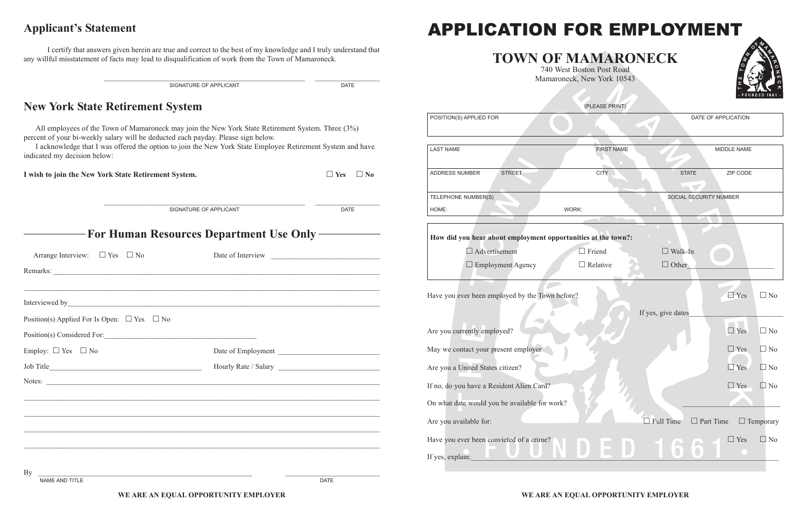# APPLICATION FOR EMPLOYMENT APPLICATION FOR EMPLOYMENT

## **TOWN OF MAMARONECK TOWN OF MAMARONECK**

740 West Boston Post Road 740 West Boston Post Road Mamaroneck, New York 10543 Mamaroneck, New York 10543

|                                                                                                                                                                                        | SIGNATURE OF APPLICANT                                                                                                                                                            | <b>DATE</b>                                                                                                                                                                                                                          |                                                               | Mamaroneck, New York 10543 |                                   |                                |
|----------------------------------------------------------------------------------------------------------------------------------------------------------------------------------------|-----------------------------------------------------------------------------------------------------------------------------------------------------------------------------------|--------------------------------------------------------------------------------------------------------------------------------------------------------------------------------------------------------------------------------------|---------------------------------------------------------------|----------------------------|-----------------------------------|--------------------------------|
| <b>New York State Retirement System</b>                                                                                                                                                |                                                                                                                                                                                   |                                                                                                                                                                                                                                      |                                                               | (PLEASE PRINT)             |                                   |                                |
|                                                                                                                                                                                        |                                                                                                                                                                                   |                                                                                                                                                                                                                                      | POSITION(S) APPLIED FOR                                       |                            |                                   | DATE OF APPLICATION            |
| All employees of the Town of Mamaroneck may join the New York State Retirement System. Three (3%)<br>percent of your bi-weekly salary will be deducted each payday. Please sign below. |                                                                                                                                                                                   |                                                                                                                                                                                                                                      |                                                               |                            |                                   |                                |
| I acknowledge that I was offered the option to join the New York State Employee Retirement System and have<br>indicated my decision below:                                             |                                                                                                                                                                                   |                                                                                                                                                                                                                                      | <b>LAST NAME</b>                                              | <b>FIRST NAME</b>          |                                   | MIDDLE NAME                    |
| I wish to join the New York State Retirement System.                                                                                                                                   |                                                                                                                                                                                   | $\Box$ Yes $\Box$ No                                                                                                                                                                                                                 | <b>STREET</b><br>ADDRESS NUMBER                               | <b>CITY</b>                | <b>STATE</b>                      | ZIP CODE                       |
|                                                                                                                                                                                        |                                                                                                                                                                                   |                                                                                                                                                                                                                                      | TELEPHONE NUMBER(S)                                           |                            | SOCIAL SECURITY NUMBER            |                                |
|                                                                                                                                                                                        | SIGNATURE OF APPLICANT                                                                                                                                                            | <b>DATE</b>                                                                                                                                                                                                                          | HOME:                                                         | WORK:                      |                                   |                                |
|                                                                                                                                                                                        | <b>For Human Resources Department Use Only-</b>                                                                                                                                   |                                                                                                                                                                                                                                      | How did you hear about employment opportunities at the town?: |                            |                                   |                                |
| Arrange Interview: $\Box$ Yes $\Box$ No                                                                                                                                                |                                                                                                                                                                                   |                                                                                                                                                                                                                                      | $\Box$ Advertisement                                          | $\Box$ Friend              | $\Box$ Walk-In                    |                                |
|                                                                                                                                                                                        |                                                                                                                                                                                   |                                                                                                                                                                                                                                      | $\Box$ Employment Agency                                      | $\Box$ Relative            | $\Box$ Other                      |                                |
| Interviewed by_                                                                                                                                                                        | <u> 1989 - Johann Stoff, amerikansk politik (f. 1989)</u><br><u> 1989 - Andrea Santa Andrea Santa Andrea Santa Andrea Santa Andrea Santa Andrea Santa Andrea Santa Andrea San</u> |                                                                                                                                                                                                                                      | Have you ever been employed by the Town before?               |                            |                                   | $P$ Yes<br>$\Box$ No           |
| Position(s) Applied For Is Open: $\Box$ Yes $\Box$ No                                                                                                                                  |                                                                                                                                                                                   |                                                                                                                                                                                                                                      |                                                               |                            | If yes, give dates                |                                |
| Position(s) Considered For:                                                                                                                                                            | <u> 1980 - Jan Sterling Sterling (d. 1980)</u>                                                                                                                                    |                                                                                                                                                                                                                                      | Are you currently employed?                                   |                            |                                   | TIP<br>$\Box$ Yes<br>$\Box$ No |
| Employ: $\Box$ Yes $\Box$ No                                                                                                                                                           | Date of Employment                                                                                                                                                                | <u>and the state of the state of the state of the state of the state of the state of the state of the state of the state of the state of the state of the state of the state of the state of the state of the state of the state</u> | May we contact your present employer                          |                            |                                   | $\Box$ No<br>$\Box$ Yes        |
| Job Title                                                                                                                                                                              | Hourly Rate / Salary                                                                                                                                                              |                                                                                                                                                                                                                                      | Are you a United States citizen?                              |                            |                                   | $\Box$ No<br>$\Box$ Yes        |
| Notes:                                                                                                                                                                                 |                                                                                                                                                                                   |                                                                                                                                                                                                                                      | If no, do you have a Resident Alien Card?                     |                            |                                   | $\Box$ Yes<br>$\Box$ No        |
|                                                                                                                                                                                        |                                                                                                                                                                                   |                                                                                                                                                                                                                                      | On what date would you be available for work?                 |                            |                                   |                                |
|                                                                                                                                                                                        |                                                                                                                                                                                   |                                                                                                                                                                                                                                      | Are you available for:                                        |                            | $\Box$ Full Time $\Box$ Part Time | $\Box$ Temporary               |
|                                                                                                                                                                                        |                                                                                                                                                                                   |                                                                                                                                                                                                                                      | Have you ever been convicted of a crime?                      |                            |                                   | $\Box$ No<br>$\Box$ Yes        |
|                                                                                                                                                                                        |                                                                                                                                                                                   |                                                                                                                                                                                                                                      | If yes, explain:                                              |                            |                                   |                                |
| By                                                                                                                                                                                     |                                                                                                                                                                                   |                                                                                                                                                                                                                                      |                                                               |                            |                                   |                                |

#### **Applicant's Statement Applicant's Statement**

I certify that answers given herein are true and correct to the best of my knowledge and I truly understand that any willful misstatement of facts may lead to disqualification of work from the Town of Mamaroneck. any willful misstatement of facts may lead to disqualification of work from the Town of Mamaroneck.



#### **WE ARE AN EQUAL OPPORTUNITY EMPLOYER WE ARE AN EQUAL OPPORTUNITY EMPLOYER**